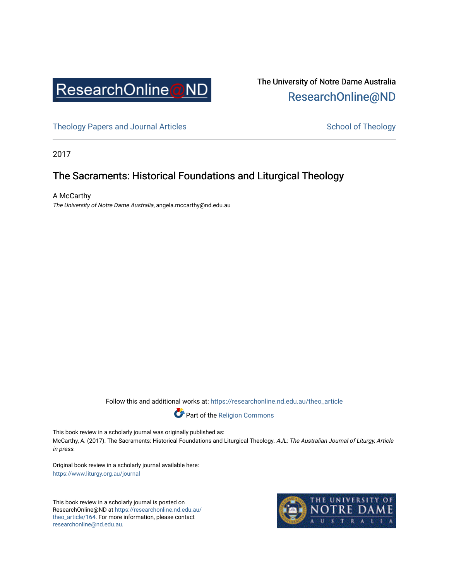

## The University of Notre Dame Australia [ResearchOnline@ND](https://researchonline.nd.edu.au/)

[Theology Papers and Journal Articles](https://researchonline.nd.edu.au/theo_article) and [School of Theology](https://researchonline.nd.edu.au/theo) School of Theology

2017

## The Sacraments: Historical Foundations and Liturgical Theology

A McCarthy The University of Notre Dame Australia, angela.mccarthy@nd.edu.au

Follow this and additional works at: [https://researchonline.nd.edu.au/theo\\_article](https://researchonline.nd.edu.au/theo_article?utm_source=researchonline.nd.edu.au%2Ftheo_article%2F164&utm_medium=PDF&utm_campaign=PDFCoverPages) 



This book review in a scholarly journal was originally published as: McCarthy, A. (2017). The Sacraments: Historical Foundations and Liturgical Theology. AJL: The Australian Journal of Liturgy, Article in press.

Original book review in a scholarly journal available here: <https://www.liturgy.org.au/journal>

This book review in a scholarly journal is posted on ResearchOnline@ND at [https://researchonline.nd.edu.au/](https://researchonline.nd.edu.au/theo_article/164) [theo\\_article/164](https://researchonline.nd.edu.au/theo_article/164). For more information, please contact [researchonline@nd.edu.au.](mailto:researchonline@nd.edu.au)

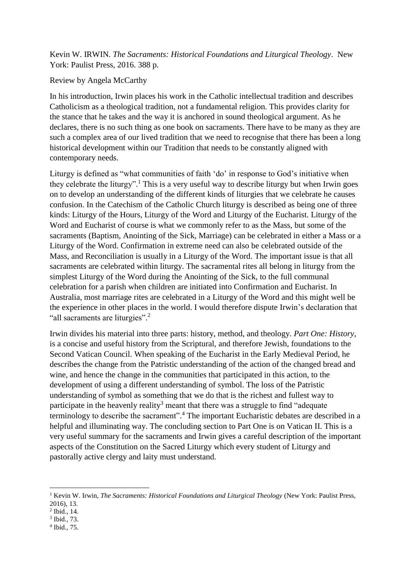Kevin W. IRWIN. *The Sacraments: Historical Foundations and Liturgical Theology*. New York: Paulist Press, 2016. 388 p.

Review by Angela McCarthy

In his introduction, Irwin places his work in the Catholic intellectual tradition and describes Catholicism as a theological tradition, not a fundamental religion. This provides clarity for the stance that he takes and the way it is anchored in sound theological argument. As he declares, there is no such thing as one book on sacraments. There have to be many as they are such a complex area of our lived tradition that we need to recognise that there has been a long historical development within our Tradition that needs to be constantly aligned with contemporary needs.

Liturgy is defined as "what communities of faith 'do' in response to God's initiative when they celebrate the liturgy". <sup>1</sup> This is a very useful way to describe liturgy but when Irwin goes on to develop an understanding of the different kinds of liturgies that we celebrate he causes confusion. In the Catechism of the Catholic Church liturgy is described as being one of three kinds: Liturgy of the Hours, Liturgy of the Word and Liturgy of the Eucharist. Liturgy of the Word and Eucharist of course is what we commonly refer to as the Mass, but some of the sacraments (Baptism, Anointing of the Sick, Marriage) can be celebrated in either a Mass or a Liturgy of the Word. Confirmation in extreme need can also be celebrated outside of the Mass, and Reconciliation is usually in a Liturgy of the Word. The important issue is that all sacraments are celebrated within liturgy. The sacramental rites all belong in liturgy from the simplest Liturgy of the Word during the Anointing of the Sick, to the full communal celebration for a parish when children are initiated into Confirmation and Eucharist. In Australia, most marriage rites are celebrated in a Liturgy of the Word and this might well be the experience in other places in the world. I would therefore dispute Irwin's declaration that "all sacraments are liturgies".<sup>2</sup>

Irwin divides his material into three parts: history, method, and theology. *Part One: History*, is a concise and useful history from the Scriptural, and therefore Jewish, foundations to the Second Vatican Council. When speaking of the Eucharist in the Early Medieval Period, he describes the change from the Patristic understanding of the action of the changed bread and wine, and hence the change in the communities that participated in this action, to the development of using a different understanding of symbol. The loss of the Patristic understanding of symbol as something that we do that is the richest and fullest way to participate in the heavenly reality<sup>3</sup> meant that there was a struggle to find "adequate" terminology to describe the sacrament". <sup>4</sup> The important Eucharistic debates are described in a helpful and illuminating way. The concluding section to Part One is on Vatican II. This is a very useful summary for the sacraments and Irwin gives a careful description of the important aspects of the Constitution on the Sacred Liturgy which every student of Liturgy and pastorally active clergy and laity must understand.

**.** 

<sup>1</sup> Kevin W. Irwin, *The Sacraments: Historical Foundations and Liturgical Theology* (New York: Paulist Press, 2016), 13.

<sup>2</sup> Ibid., 14.

<sup>3</sup> Ibid., 73.

<sup>4</sup> Ibid., 75.